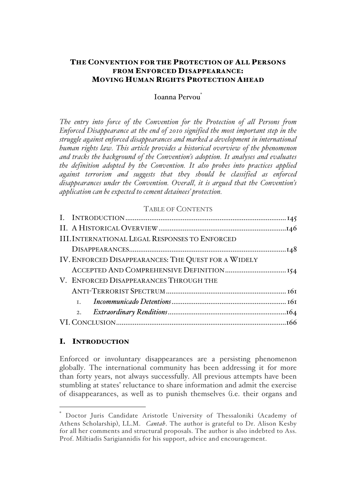## THE CONVENTION FOR THE PROTECTION OF ALL PERSONS FROM ENFORCED DISAPPEARANCE: MOVING HUMAN RIGHTS PROTECTION AHEAD

### Ioanna Pervou\*

*The entry into force of the Convention for the Protection of all Persons from Enforced Disappearance at the end of 2010 signified the most important step in the struggle against enforced disappearances and marked a development in international human rights law. This article provides a historical overview of the phenomenon and tracks the background of the Convention's adoption. It analyses and evaluates the definition adopted by the Convention. It also probes into practices applied against terrorism and suggests that they should be classified as enforced disappearances under the Convention. Overall, it is argued that the Convention's application can be expected to cement detainees' protection.*

### TABLE OF CONTENTS

| <b>III. INTERNATIONAL LEGAL RESPONSES TO ENFORCED</b> |  |
|-------------------------------------------------------|--|
|                                                       |  |
| IV. ENFORCED DISAPPEARANCES: THE QUEST FOR A WIDELY   |  |
|                                                       |  |
| V. ENFORCED DISAPPEARANCES THROUGH THE                |  |
|                                                       |  |
|                                                       |  |
| 2.                                                    |  |
|                                                       |  |

### I. INTRODUCTION

 $\overline{a}$ 

Enforced or involuntary disappearances are a persisting phenomenon globally. The international community has been addressing it for more than forty years, not always successfully. All previous attempts have been stumbling at states' reluctance to share information and admit the exercise of disappearances, as well as to punish themselves (i.e. their organs and

Doctor Juris Candidate Aristotle University of Thessaloniki (Academy of Athens Scholarship), LL.M. *Cantab*. The author is grateful to Dr. Alison Kesby for all her comments and structural proposals. The author is also indebted to Ass. Prof. Miltiadis Sarigiannidis for his support, advice and encouragement.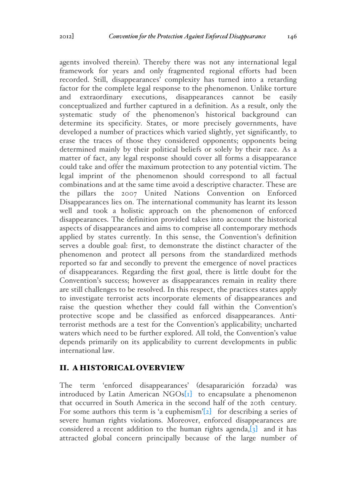agents involved therein). Thereby there was not any international legal framework for years and only fragmented regional efforts had been recorded. Still, disappearances' complexity has turned into a retarding factor for the complete legal response to the phenomenon. Unlike torture and extraordinary executions, disappearances cannot be easily conceptualized and further captured in a definition. As a result, only the systematic study of the phenomenon's historical background can determine its specificity. States, or more precisely governments, have developed a number of practices which varied slightly, yet significantly, to erase the traces of those they considered opponents; opponents being determined mainly by their political beliefs or solely by their race. As a matter of fact, any legal response should cover all forms a disappearance could take and offer the maximum protection to any potential victim. The legal imprint of the phenomenon should correspond to all factual combinations and at the same time avoid a descriptive character. These are the pillars the 2007 United Nations Convention on Enforced Disappearances lies on. The international community has learnt its lesson well and took a holistic approach on the phenomenon of enforced disappearances. The definition provided takes into account the historical aspects of disappearances and aims to comprise all contemporary methods applied by states currently. In this sense, the Convention's definition serves a double goal: first, to demonstrate the distinct character of the phenomenon and protect all persons from the standardized methods reported so far and secondly to prevent the emergence of novel practices of disappearances. Regarding the first goal, there is little doubt for the Convention's success; however as disappearances remain in reality there are still challenges to be resolved. In this respect, the practices states apply to investigate terrorist acts incorporate elements of disappearances and raise the question whether they could fall within the Convention's protective scope and be classified as enforced disappearances. Antiterrorist methods are a test for the Convention's applicability; uncharted waters which need to be further explored. All told, the Convention's value depends primarily on its applicability to current developments in public international law.

### II. A HISTORICAL OVERVIEW

The term 'enforced disappearances' (desapararición forzada) was introduced by Latin American  $NGOs[r]$  to encapsulate a phenomenon that occurred in South America in the second half of the 20th century. For some authors this term is 'a euphemism' $[2]$  for describing a series of severe human rights violations. Moreover, enforced disappearances are considered a recent addition to the human rights agenda, $\{3\}$  and it has attracted global concern principally because of the large number of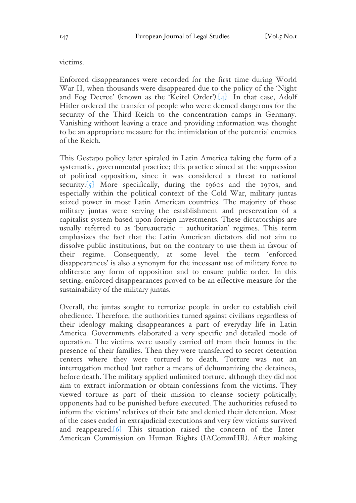victims.

Enforced disappearances were recorded for the first time during World War II, when thousands were disappeared due to the policy of the 'Night and Fog Decree' (known as the 'Keitel Order').[4] In that case, Adolf Hitler ordered the transfer of people who were deemed dangerous for the security of the Third Reich to the concentration camps in Germany. Vanishing without leaving a trace and providing information was thought to be an appropriate measure for the intimidation of the potential enemies of the Reich.

This Gestapo policy later spiraled in Latin America taking the form of a systematic, governmental practice; this practice aimed at the suppression of political opposition, since it was considered a threat to national security.[5] More specifically, during the 1960s and the 1970s, and especially within the political context of the Cold War, military juntas seized power in most Latin American countries. The majority of those military juntas were serving the establishment and preservation of a capitalist system based upon foreign investments. These dictatorships are usually referred to as 'bureaucratic – authoritarian' regimes. This term emphasizes the fact that the Latin American dictators did not aim to dissolve public institutions, but on the contrary to use them in favour of their regime. Consequently, at some level the term 'enforced disappearances' is also a synonym for the incessant use of military force to obliterate any form of opposition and to ensure public order. In this setting, enforced disappearances proved to be an effective measure for the sustainability of the military juntas.

Overall, the juntas sought to terrorize people in order to establish civil obedience. Therefore, the authorities turned against civilians regardless of their ideology making disappearances a part of everyday life in Latin America. Governments elaborated a very specific and detailed mode of operation. The victims were usually carried off from their homes in the presence of their families. Then they were transferred to secret detention centers where they were tortured to death. Torture was not an interrogation method but rather a means of dehumanizing the detainees, before death. The military applied unlimited torture, although they did not aim to extract information or obtain confessions from the victims. They viewed torture as part of their mission to cleanse society politically; opponents had to be punished before executed. The authorities refused to inform the victims' relatives of their fate and denied their detention. Most of the cases ended in extrajudicial executions and very few victims survived and reappeared.[6] This situation raised the concern of the Inter-American Commission on Human Rights (IACommHR). After making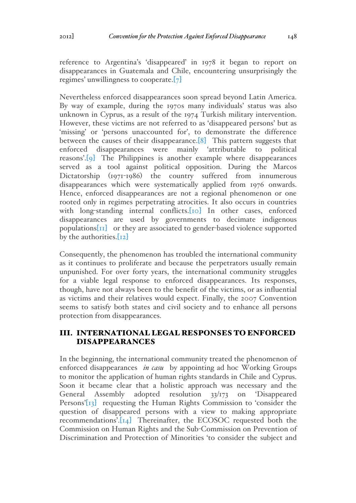reference to Argentina's 'disappeared' in 1978 it began to report on disappearances in Guatemala and Chile, encountering unsurprisingly the regimes' unwillingness to cooperate.[7]

Nevertheless enforced disappearances soon spread beyond Latin America. By way of example, during the 1970s many individuals' status was also unknown in Cyprus, as a result of the 1974 Turkish military intervention. However, these victims are not referred to as 'disappeared persons' but as 'missing' or 'persons unaccounted for', to demonstrate the difference between the causes of their disappearance.[8] This pattern suggests that enforced disappearances were mainly 'attributable to political reasons'.[9] The Philippines is another example where disappearances served as a tool against political opposition. During the Marcos Dictatorship (1971-1986) the country suffered from innumerous disappearances which were systematically applied from 1976 onwards. Hence, enforced disappearances are not a regional phenomenon or one rooted only in regimes perpetrating atrocities. It also occurs in countries with long-standing internal conflicts. [10] In other cases, enforced disappearances are used by governments to decimate indigenous populations $\begin{bmatrix} \Pi \end{bmatrix}$  or they are associated to gender-based violence supported by the authorities.[12]

Consequently, the phenomenon has troubled the international community as it continues to proliferate and because the perpetrators usually remain unpunished. For over forty years, the international community struggles for a viable legal response to enforced disappearances. Its responses, though, have not always been to the benefit of the victims, or as influential as victims and their relatives would expect. Finally, the 2007 Convention seems to satisfy both states and civil society and to enhance all persons protection from disappearances.

# III. INTERNATIONAL LEGAL RESPONSES TO ENFORCED DISAPPEARANCES

In the beginning, the international community treated the phenomenon of enforced disappearances *in casu* by appointing ad hoc Working Groups to monitor the application of human rights standards in Chile and Cyprus. Soon it became clear that a holistic approach was necessary and the General Assembly adopted resolution 33/173 on 'Disappeared Persons'[13] requesting the Human Rights Commission to 'consider the question of disappeared persons with a view to making appropriate recommendations'.[14] Thereinafter, the ECOSOC requested both the Commission on Human Rights and the Sub-Commission on Prevention of Discrimination and Protection of Minorities 'to consider the subject and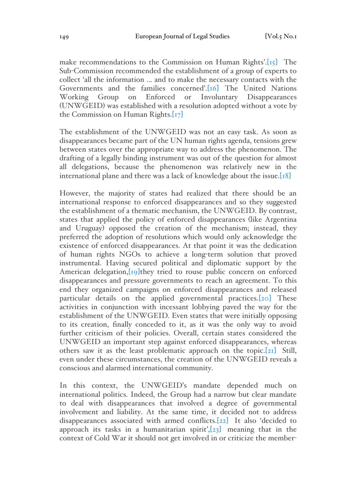make recommendations to the Commission on Human Rights'.[15] The Sub-Commission recommended the establishment of a group of experts to collect 'all the information … and to make the necessary contacts with the Governments and the families concerned'.[16] The United Nations Working Group on Enforced or Involuntary Disappearances (UNWGEID) was established with a resolution adopted without a vote by the Commission on Human Rights. $[T7]$ 

The establishment of the UNWGEID was not an easy task. As soon as disappearances became part of the UN human rights agenda, tensions grew between states over the appropriate way to address the phenomenon. The drafting of a legally binding instrument was out of the question for almost all delegations, because the phenomenon was relatively new in the international plane and there was a lack of knowledge about the issue.[18]

However, the majority of states had realized that there should be an international response to enforced disappearances and so they suggested the establishment of a thematic mechanism, the UNWGEID. By contrast, states that applied the policy of enforced disappearances (like Argentina and Uruguay) opposed the creation of the mechanism; instead, they preferred the adoption of resolutions which would only acknowledge the existence of enforced disappearances. At that point it was the dedication of human rights NGOs to achieve a long-term solution that proved instrumental. Having secured political and diplomatic support by the American delegation, [19] they tried to rouse public concern on enforced disappearances and pressure governments to reach an agreement. To this end they organized campaigns on enforced disappearances and released particular details on the applied governmental practices.[20] These activities in conjunction with incessant lobbying paved the way for the establishment of the UNWGEID. Even states that were initially opposing to its creation, finally conceded to it, as it was the only way to avoid further criticism of their policies. Overall, certain states considered the UNWGEID an important step against enforced disappearances, whereas others saw it as the least problematic approach on the topic.[21] Still, even under these circumstances, the creation of the UNWGEID reveals a conscious and alarmed international community.

In this context, the UNWGEID's mandate depended much on international politics. Indeed, the Group had a narrow but clear mandate to deal with disappearances that involved a degree of governmental involvement and liability. At the same time, it decided not to address disappearances associated with armed conflicts.[22] It also 'decided to approach its tasks in a humanitarian spirit', $[23]$  meaning that in the context of Cold War it should not get involved in or criticize the member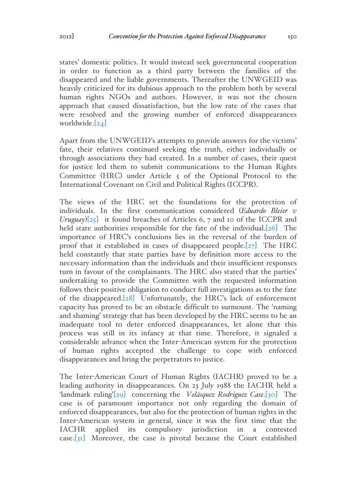states' domestic politics. It would instead seek governmental cooperation in order to function as a third party between the families of the disappeared and the liable governments. Thereafter the UNWGEID was heavily criticized for its dubious approach to the problem both by several human rights NGOs and authors. However, it was not the chosen approach that caused dissatisfaction, but the low rate of the cases that were resolved and the growing number of enforced disappearances worldwide.[24]

Apart from the UNWGEID's attempts to provide answers for the victims' fate, their relatives continued seeking the truth, either individually or through associations they had created. In a number of cases, their quest for justice led them to submit communications to the Human Rights Committee (HRC) under Article 5 of the Optional Protocol to the International Covenant on Civil and Political Rights (ICCPR).

The views of the HRC set the foundations for the protection of individuals. In the first communication considered (*Eduardo Bleier v Uruguay*)[25] it found breaches of Articles 6, 7 and 10 of the ICCPR and held state authorities responsible for the fate of the individual.[26] The importance of HRC's conclusions lies in the reversal of the burden of proof that it established in cases of disappeared people. $[27]$  The HRC held constantly that state parties have by definition more access to the necessary information than the individuals and their insufficient responses turn in favour of the complainants. The HRC also stated that the parties' undertaking to provide the Committee with the requested information follows their positive obligation to conduct full investigations as to the fate of the disappeared.[28] Unfortunately, the HRC's lack of enforcement capacity has proved to be an obstacle difficult to surmount. The 'naming and shaming' strategy that has been developed by the HRC seems to be an inadequate tool to deter enforced disappearances, let alone that this process was still in its infancy at that time. Therefore, it signaled a considerable advance when the Inter-American system for the protection of human rights accepted the challenge to cope with enforced disappearances and bring the perpetrators to justice.

The Inter-American Court of Human Rights (IACHR) proved to be a leading authority in disappearances. On 23 July 1988 the IACHR held a 'landmark ruling'[29] concerning the *Velásquez Rodriguez Case*.[30] The case is of paramount importance not only regarding the domain of enforced disappearances, but also for the protection of human rights in the Inter-American system in general, since it was the first time that the IACHR applied its compulsory jurisdiction in a contested case.[31] Moreover, the case is pivotal because the Court established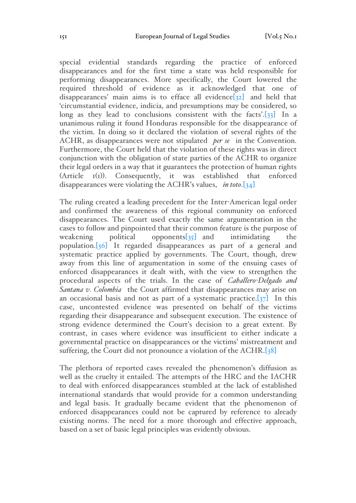special evidential standards regarding the practice of enforced disappearances and for the first time a state was held responsible for performing disappearances. More specifically, the Court lowered the required threshold of evidence as it acknowledged that one of disappearances' main aims is to efface all evidence  $\sqrt{32}$  and held that 'circumstantial evidence, indicia, and presumptions may be considered, so long as they lead to conclusions consistent with the facts'.<sup>[33]</sup> In a unanimous ruling it found Honduras responsible for the disappearance of the victim. In doing so it declared the violation of several rights of the ACHR, as disappearances were not stipulated *per se* in the Convention. Furthermore, the Court held that the violation of these rights was in direct conjunction with the obligation of state parties of the ACHR to organize their legal orders in a way that it guarantees the protection of human rights (Article 1(1)). Consequently, it was established that enforced disappearances were violating the ACHR's values, *in toto*.[34]

The ruling created a leading precedent for the Inter-American legal order and confirmed the awareness of this regional community on enforced disappearances. The Court used exactly the same argumentation in the cases to follow and pinpointed that their common feature is the purpose of weakening political opponents[35] and intimidating the population.[36] It regarded disappearances as part of a general and systematic practice applied by governments. The Court, though, drew away from this line of argumentation in some of the ensuing cases of enforced disappearances it dealt with, with the view to strengthen the procedural aspects of the trials. In the case of *Caballero-Delgado and Santana v. Colombia* the Court affirmed that disappearances may arise on an occasional basis and not as part of a systematic practice. $[37]$  In this case, uncontested evidence was presented on behalf of the victims regarding their disappearance and subsequent execution. The existence of strong evidence determined the Court's decision to a great extent. By contrast, in cases where evidence was insufficient to either indicate a governmental practice on disappearances or the victims' mistreatment and suffering, the Court did not pronounce a violation of the ACHR.[38]

The plethora of reported cases revealed the phenomenon's diffusion as well as the cruelty it entailed. The attempts of the HRC and the IACHR to deal with enforced disappearances stumbled at the lack of established international standards that would provide for a common understanding and legal basis. It gradually became evident that the phenomenon of enforced disappearances could not be captured by reference to already existing norms. The need for a more thorough and effective approach, based on a set of basic legal principles was evidently obvious.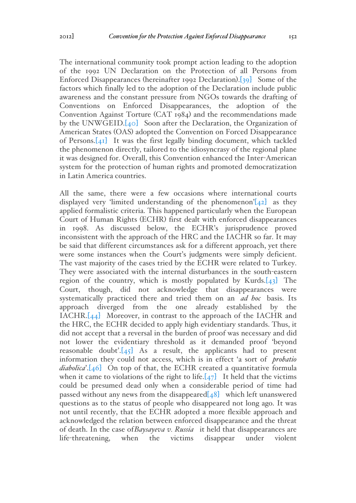The international community took prompt action leading to the adoption of the 1992 UN Declaration on the Protection of all Persons from Enforced Disappearances (hereinafter 1992 Declaration).[39] Some of the factors which finally led to the adoption of the Declaration include public awareness and the constant pressure from NGOs towards the drafting of Conventions on Enforced Disappearances, the adoption of the Convention Against Torture (CAT 1984) and the recommendations made by the UNWGEID.[40] Soon after the Declaration, the Organization of American States (OAS) adopted the Convention on Forced Disappearance of Persons.[41] It was the first legally binding document, which tackled the phenomenon directly, tailored to the idiosyncrasy of the regional plane it was designed for. Overall, this Convention enhanced the Inter-American system for the protection of human rights and promoted democratization in Latin America countries.

All the same, there were a few occasions where international courts displayed very 'limited understanding of the phenomenon' $[42]$  as they applied formalistic criteria. This happened particularly when the European Court of Human Rights (ECHR) first dealt with enforced disappearances in 1998. As discussed below, the ECHR's jurisprudence proved inconsistent with the approach of the HRC and the IACHR so far. It may be said that different circumstances ask for a different approach, yet there were some instances when the Court's judgments were simply deficient. The vast majority of the cases tried by the ECHR were related to Turkey. They were associated with the internal disturbances in the south-eastern region of the country, which is mostly populated by Kurds. $[43]$  The Court, though, did not acknowledge that disappearances were systematically practiced there and tried them on an *ad hoc* basis. Its approach diverged from the one already established by the IACHR.[44] Moreover, in contrast to the approach of the IACHR and the HRC, the ECHR decided to apply high evidentiary standards. Thus, it did not accept that a reversal in the burden of proof was necessary and did not lower the evidentiary threshold as it demanded proof 'beyond reasonable doubt'. $[45]$  As a result, the applicants had to present information they could not access, which is in effect 'a sort of *probatio diabolica*'.[46] On top of that, the ECHR created a quantitative formula when it came to violations of the right to life. $[47]$  It held that the victims could be presumed dead only when a considerable period of time had passed without any news from the disappeared $[48]$  which left unanswered questions as to the status of people who disappeared not long ago. It was not until recently, that the ECHR adopted a more flexible approach and acknowledged the relation between enforced disappearance and the threat of death. In the case of*Baysayeva v. Russia* it held that disappearances are life-threatening, when the victims disappear under violent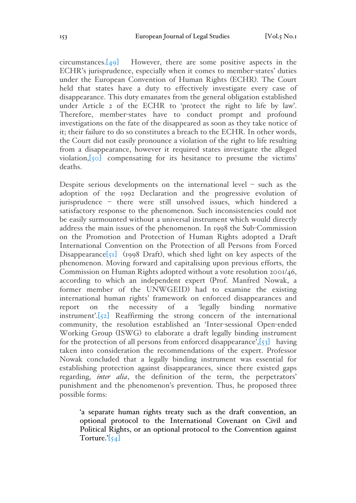$circumstances.[49]$  However, there are some positive aspects in the ECHR's jurisprudence, especially when it comes to member-states' duties under the European Convention of Human Rights (ECHR). The Court held that states have a duty to effectively investigate every case of disappearance. This duty emanates from the general obligation established under Article 2 of the ECHR to 'protect the right to life by law'. Therefore, member-states have to conduct prompt and profound investigations on the fate of the disappeared as soon as they take notice of it; their failure to do so constitutes a breach to the ECHR. In other words, the Court did not easily pronounce a violation of the right to life resulting from a disappearance, however it required states investigate the alleged violation,[50] compensating for its hesitance to presume the victims' deaths.

Despite serious developments on the international level – such as the adoption of the 1992 Declaration and the progressive evolution of jurisprudence – there were still unsolved issues, which hindered a satisfactory response to the phenomenon. Such inconsistencies could not be easily surmounted without a universal instrument which would directly address the main issues of the phenomenon. In 1998 the Sub-Commission on the Promotion and Protection of Human Rights adopted a Draft International Convention on the Protection of all Persons from Forced Disappearance $[51]$  (1998 Draft), which shed light on key aspects of the phenomenon. Moving forward and capitalising upon previous efforts, the Commission on Human Rights adopted without a vote resolution 2001/46, according to which an independent expert (Prof. Manfred Nowak, a former member of the UNWGEID) had to examine the existing international human rights' framework on enforced disappearances and report on the necessity of a 'legally binding normative instrument'.[52] Reaffirming the strong concern of the international community, the resolution established an 'Inter-sessional Open-ended Working Group (ISWG) to elaborate a draft legally binding instrument for the protection of all persons from enforced disappearance', $[53]$  having taken into consideration the recommendations of the expert. Professor Nowak concluded that a legally binding instrument was essential for establishing protection against disappearances, since there existed gaps regarding, *inter alia*, the definition of the term, the perpetrators' punishment and the phenomenon's prevention. Thus, he proposed three possible forms:

'a separate human rights treaty such as the draft convention, an optional protocol to the International Covenant on Civil and Political Rights, or an optional protocol to the Convention against Torture.' $\left[54\right]$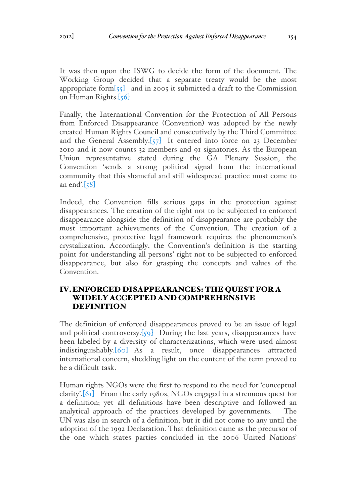It was then upon the ISWG to decide the form of the document. The Working Group decided that a separate treaty would be the most appropriate form  $\begin{bmatrix} 55 \end{bmatrix}$  and in 2005 it submitted a draft to the Commission on Human Rights.[56]

Finally, the International Convention for the Protection of All Persons from Enforced Disappearance (Convention) was adopted by the newly created Human Rights Council and consecutively by the Third Committee and the General Assembly.[57] It entered into force on 23 December 2010 and it now counts 32 members and 91 signatories. As the European Union representative stated during the GA Plenary Session, the Convention 'sends a strong political signal from the international community that this shameful and still widespread practice must come to an end'. $\left[58\right]$ 

Indeed, the Convention fills serious gaps in the protection against disappearances. The creation of the right not to be subjected to enforced disappearance alongside the definition of disappearance are probably the most important achievements of the Convention. The creation of a comprehensive, protective legal framework requires the phenomenon's crystallization. Accordingly, the Convention's definition is the starting point for understanding all persons' right not to be subjected to enforced disappearance, but also for grasping the concepts and values of the Convention.

## IV.ENFORCED DISAPPEARANCES: THE QUEST FOR A WIDELY ACCEPTED AND COMPREHENSIVE DEFINITION

The definition of enforced disappearances proved to be an issue of legal and political controversy.[59] During the last years, disappearances have been labeled by a diversity of characterizations, which were used almost indistinguishably.[60] As a result, once disappearances attracted international concern, shedding light on the content of the term proved to be a difficult task.

Human rights NGOs were the first to respond to the need for 'conceptual clarity'.[61] From the early 1980s, NGOs engaged in a strenuous quest for a definition; yet all definitions have been descriptive and followed an analytical approach of the practices developed by governments. The UN was also in search of a definition, but it did not come to any until the adoption of the 1992 Declaration. That definition came as the precursor of the one which states parties concluded in the 2006 United Nations'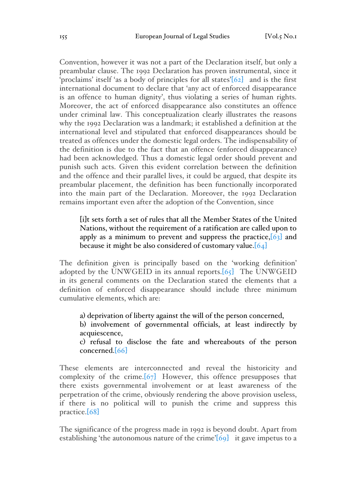Convention, however it was not a part of the Declaration itself, but only a preambular clause. The 1992 Declaration has proven instrumental, since it 'proclaims' itself 'as a body of principles for all states'[62] and is the first international document to declare that 'any act of enforced disappearance is an offence to human dignity', thus violating a series of human rights. Moreover, the act of enforced disappearance also constitutes an offence under criminal law. This conceptualization clearly illustrates the reasons why the 1992 Declaration was a landmark; it established a definition at the international level and stipulated that enforced disappearances should be treated as offences under the domestic legal orders. The indispensability of the definition is due to the fact that an offence (enforced disappearance) had been acknowledged. Thus a domestic legal order should prevent and punish such acts. Given this evident correlation between the definition and the offence and their parallel lives, it could be argued, that despite its preambular placement, the definition has been functionally incorporated into the main part of the Declaration. Moreover, the 1992 Declaration remains important even after the adoption of the Convention, since

[i]t sets forth a set of rules that all the Member States of the United Nations, without the requirement of a ratification are called upon to apply as a minimum to prevent and suppress the practice,  $[63]$  and because it might be also considered of customary value.  $[64]$ 

The definition given is principally based on the 'working definition' adopted by the UNWGEID in its annual reports. $[65]$  The UNWGEID in its general comments on the Declaration stated the elements that a definition of enforced disappearance should include three minimum cumulative elements, which are:

a) deprivation of liberty against the will of the person concerned,

b) involvement of governmental officials, at least indirectly by acquiescence,

c) refusal to disclose the fate and whereabouts of the person concerned.[66]

These elements are interconnected and reveal the historicity and complexity of the crime.[67] However, this offence presupposes that there exists governmental involvement or at least awareness of the perpetration of the crime, obviously rendering the above provision useless, if there is no political will to punish the crime and suppress this practice.[68]

The significance of the progress made in 1992 is beyond doubt. Apart from establishing 'the autonomous nature of the crime' $[69]$  it gave impetus to a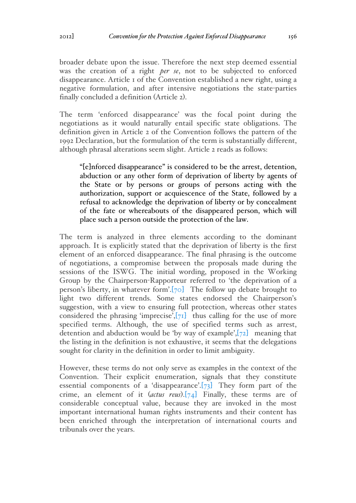broader debate upon the issue. Therefore the next step deemed essential was the creation of a right *per se*, not to be subjected to enforced disappearance. Article 1 of the Convention established a new right, using a negative formulation, and after intensive negotiations the state-parties finally concluded a definition (Article 2).

The term 'enforced disappearance' was the focal point during the negotiations as it would naturally entail specific state obligations. The definition given in Article 2 of the Convention follows the pattern of the 1992 Declaration, but the formulation of the term is substantially different, although phrasal alterations seem slight. Article 2 reads as follows:

"[e]nforced disappearance" is considered to be the arrest, detention, abduction or any other form of deprivation of liberty by agents of the State or by persons or groups of persons acting with the authorization, support or acquiescence of the State, followed by a refusal to acknowledge the deprivation of liberty or by concealment of the fate or whereabouts of the disappeared person, which will place such a person outside the protection of the law.

The term is analyzed in three elements according to the dominant approach. It is explicitly stated that the deprivation of liberty is the first element of an enforced disappearance. The final phrasing is the outcome of negotiations, a compromise between the proposals made during the sessions of the ISWG. The initial wording, proposed in the Working Group by the Chairperson-Rapporteur referred to 'the deprivation of a person's liberty, in whatever form'.[ $\overline{70}$ ] The follow up debate brought to light two different trends. Some states endorsed the Chairperson's suggestion, with a view to ensuring full protection, whereas other states considered the phrasing 'imprecise', $[71]$  thus calling for the use of more specified terms. Although, the use of specified terms such as arrest, detention and abduction would be 'by way of example', $[72]$  meaning that the listing in the definition is not exhaustive, it seems that the delegations sought for clarity in the definition in order to limit ambiguity.

However, these terms do not only serve as examples in the context of the Convention. Their explicit enumeration, signals that they constitute essential components of a 'disappearance'. $[73]$  They form part of the crime, an element of it (*actus reus*).[74] Finally, these terms are of considerable conceptual value, because they are invoked in the most important international human rights instruments and their content has been enriched through the interpretation of international courts and tribunals over the years.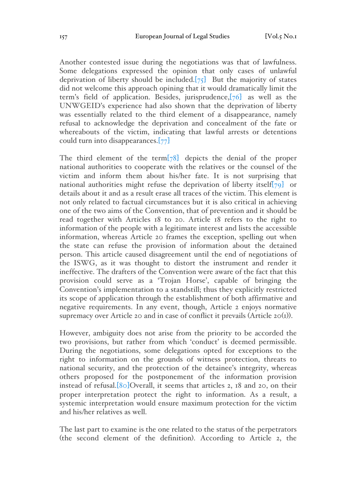Another contested issue during the negotiations was that of lawfulness. Some delegations expressed the opinion that only cases of unlawful deprivation of liberty should be included. $[75]$  But the majority of states did not welcome this approach opining that it would dramatically limit the term's field of application. Besides, jurisprudence,[76] as well as the UNWGEID's experience had also shown that the deprivation of liberty was essentially related to the third element of a disappearance, namely refusal to acknowledge the deprivation and concealment of the fate or whereabouts of the victim, indicating that lawful arrests or detentions could turn into disappearances.[77]

The third element of the term[78] depicts the denial of the proper national authorities to cooperate with the relatives or the counsel of the victim and inform them about his/her fate. It is not surprising that national authorities might refuse the deprivation of liberty itself $[79]$  or details about it and as a result erase all traces of the victim. This element is not only related to factual circumstances but it is also critical in achieving one of the two aims of the Convention, that of prevention and it should be read together with Articles 18 to 20. Article 18 refers to the right to information of the people with a legitimate interest and lists the accessible information, whereas Article 20 frames the exception, spelling out when the state can refuse the provision of information about the detained person. This article caused disagreement until the end of negotiations of the ISWG, as it was thought to distort the instrument and render it ineffective. The drafters of the Convention were aware of the fact that this provision could serve as a 'Trojan Horse', capable of bringing the Convention's implementation to a standstill; thus they explicitly restricted its scope of application through the establishment of both affirmative and negative requirements. In any event, though, Article 2 enjoys normative supremacy over Article 20 and in case of conflict it prevails (Article  $2O(I)$ ).

However, ambiguity does not arise from the priority to be accorded the two provisions, but rather from which 'conduct' is deemed permissible. During the negotiations, some delegations opted for exceptions to the right to information on the grounds of witness protection, threats to national security, and the protection of the detainee's integrity, whereas others proposed for the postponement of the information provision instead of refusal.[80]Overall, it seems that articles 2, 18 and 20, on their proper interpretation protect the right to information. As a result, a systemic interpretation would ensure maximum protection for the victim and his/her relatives as well.

The last part to examine is the one related to the status of the perpetrators (the second element of the definition). According to Article 2, the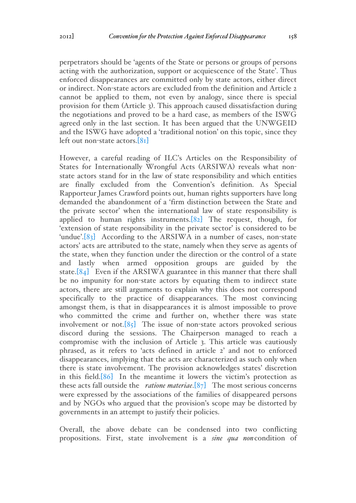perpetrators should be 'agents of the State or persons or groups of persons acting with the authorization, support or acquiescence of the State'. Thus enforced disappearances are committed only by state actors, either direct or indirect. Non-state actors are excluded from the definition and Article 2 cannot be applied to them, not even by analogy, since there is special provision for them (Article 3). This approach caused dissatisfaction during the negotiations and proved to be a hard case, as members of the ISWG agreed only in the last section. It has been argued that the UNWGEID and the ISWG have adopted a 'traditional notion' on this topic, since they left out non-state actors.[81]

However, a careful reading of ILC's Articles on the Responsibility of States for Internationally Wrongful Acts (ARSIWA) reveals what nonstate actors stand for in the law of state responsibility and which entities are finally excluded from the Convention's definition. As Special Rapporteur James Crawford points out, human rights supporters have long demanded the abandonment of a 'firm distinction between the State and the private sector' when the international law of state responsibility is applied to human rights instruments.[82] The request, though, for 'extension of state responsibility in the private sector' is considered to be 'undue'. $[83]$  According to the ARSIWA in a number of cases, non-state actors' acts are attributed to the state, namely when they serve as agents of the state, when they function under the direction or the control of a state and lastly when armed opposition groups are guided by the state. $[84]$  Even if the ARSIWA guarantee in this manner that there shall be no impunity for non-state actors by equating them to indirect state actors, there are still arguments to explain why this does not correspond specifically to the practice of disappearances. The most convincing amongst them, is that in disappearances it is almost impossible to prove who committed the crime and further on, whether there was state involvement or not. $[85]$  The issue of non-state actors provoked serious discord during the sessions. The Chairperson managed to reach a compromise with the inclusion of Article 3. This article was cautiously phrased, as it refers to 'acts defined in article 2' and not to enforced disappearances, implying that the acts are characterized as such only when there is state involvement. The provision acknowledges states' discretion in this field.[86] In the meantime it lowers the victim's protection as these acts fall outside the *ratione materiae*.[87] The most serious concerns were expressed by the associations of the families of disappeared persons and by NGOs who argued that the provision's scope may be distorted by governments in an attempt to justify their policies.

Overall, the above debate can be condensed into two conflicting propositions. First, state involvement is a *sine qua non*condition of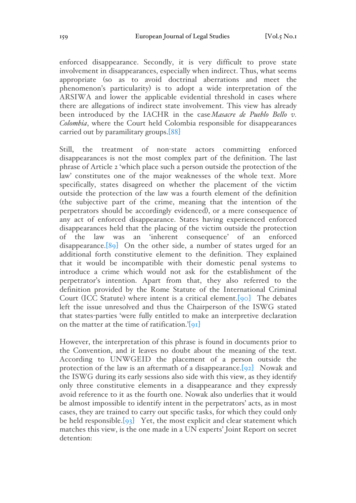enforced disappearance. Secondly, it is very difficult to prove state involvement in disappearances, especially when indirect. Thus, what seems appropriate (so as to avoid doctrinal aberrations and meet the phenomenon's particularity) is to adopt a wide interpretation of the ARSIWA and lower the applicable evidential threshold in cases where there are allegations of indirect state involvement. This view has already been introduced by the IACHR in the case*Masacre de Pueblo Bello v. Colombia*, where the Court held Colombia responsible for disappearances carried out by paramilitary groups.[88]

Still, the treatment of non-state actors committing enforced disappearances is not the most complex part of the definition. The last phrase of Article 2 'which place such a person outside the protection of the law' constitutes one of the major weaknesses of the whole text. More specifically, states disagreed on whether the placement of the victim outside the protection of the law was a fourth element of the definition (the subjective part of the crime, meaning that the intention of the perpetrators should be accordingly evidenced), or a mere consequence of any act of enforced disappearance. States having experienced enforced disappearances held that the placing of the victim outside the protection of the law was an 'inherent consequence' of an enforced disappearance. $[89]$  On the other side, a number of states urged for an additional forth constitutive element to the definition. They explained that it would be incompatible with their domestic penal systems to introduce a crime which would not ask for the establishment of the perpetrator's intention. Apart from that, they also referred to the definition provided by the Rome Statute of the International Criminal Court (ICC Statute) where intent is a critical element.[90] The debates left the issue unresolved and thus the Chairperson of the ISWG stated that states-parties 'were fully entitled to make an interpretive declaration on the matter at the time of ratification.'[91]

However, the interpretation of this phrase is found in documents prior to the Convention, and it leaves no doubt about the meaning of the text. According to UNWGEID the placement of a person outside the protection of the law is an aftermath of a disappearance.[92] Nowak and the ISWG during its early sessions also side with this view, as they identify only three constitutive elements in a disappearance and they expressly avoid reference to it as the fourth one. Nowak also underlies that it would be almost impossible to identify intent in the perpetrators' acts, as in most cases, they are trained to carry out specific tasks, for which they could only be held responsible. $[93]$  Yet, the most explicit and clear statement which matches this view, is the one made in a UN experts' Joint Report on secret detention: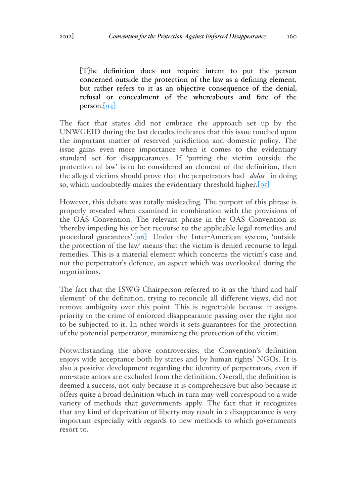[T]he definition does not require intent to put the person concerned outside the protection of the law as a defining element, but rather refers to it as an objective consequence of the denial, refusal or concealment of the whereabouts and fate of the person. $\left[94\right]$ 

The fact that states did not embrace the approach set up by the UNWGEID during the last decades indicates that this issue touched upon the important matter of reserved jurisdiction and domestic policy. The issue gains even more importance when it comes to the evidentiary standard set for disappearances. If 'putting the victim outside the protection of law' is to be considered an element of the definition, then the alleged victims should prove that the perpetrators had *dolus* in doing so, which undoubtedly makes the evidentiary threshold higher.[95]

However, this debate was totally misleading. The purport of this phrase is properly revealed when examined in combination with the provisions of the OAS Convention. The relevant phrase in the OAS Convention is: 'thereby impeding his or her recourse to the applicable legal remedies and procedural guarantees'.[96] Under the Inter-American system, 'outside the protection of the law' means that the victim is denied recourse to legal remedies. This is a material element which concerns the victim's case and not the perpetrator's defence, an aspect which was overlooked during the negotiations.

The fact that the ISWG Chairperson referred to it as the 'third and half element' of the definition, trying to reconcile all different views, did not remove ambiguity over this point. This is regrettable because it assigns priority to the crime of enforced disappearance passing over the right not to be subjected to it. In other words it sets guarantees for the protection of the potential perpetrator, minimizing the protection of the victim.

Notwithstanding the above controversies, the Convention's definition enjoys wide acceptance both by states and by human rights' NGOs. It is also a positive development regarding the identity of perpetrators, even if non-state actors are excluded from the definition. Overall, the definition is deemed a success, not only because it is comprehensive but also because it offers quite a broad definition which in turn may well correspond to a wide variety of methods that governments apply. The fact that it recognizes that any kind of deprivation of liberty may result in a disappearance is very important especially with regards to new methods to which governments resort to.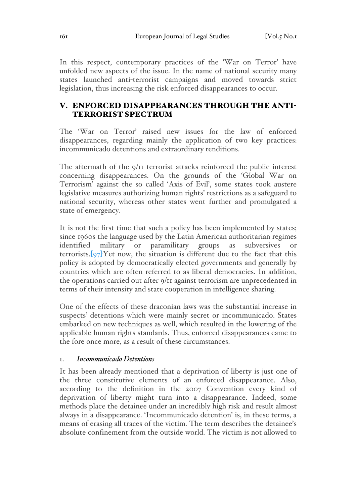In this respect, contemporary practices of the 'War on Terror' have unfolded new aspects of the issue. In the name of national security many states launched anti-terrorist campaigns and moved towards strict legislation, thus increasing the risk enforced disappearances to occur.

# V. ENFORCED DISAPPEARANCES THROUGH THE ANTI-TERRORIST SPECTRUM

The 'War on Terror' raised new issues for the law of enforced disappearances, regarding mainly the application of two key practices: incommunicado detentions and extraordinary renditions.

The aftermath of the 9/11 terrorist attacks reinforced the public interest concerning disappearances. On the grounds of the 'Global War on Terrorism' against the so called 'Axis of Evil', some states took austere legislative measures authorizing human rights' restrictions as a safeguard to national security, whereas other states went further and promulgated a state of emergency.

It is not the first time that such a policy has been implemented by states; since 1960s the language used by the Latin American authoritarian regimes identified military or paramilitary groups as subversives or terrorists. $[97]$ Yet now, the situation is different due to the fact that this policy is adopted by democratically elected governments and generally by countries which are often referred to as liberal democracies. In addition, the operations carried out after 9/11 against terrorism are unprecedented in terms of their intensity and state cooperation in intelligence sharing.

One of the effects of these draconian laws was the substantial increase in suspects' detentions which were mainly secret or incommunicado. States embarked on new techniques as well, which resulted in the lowering of the applicable human rights standards. Thus, enforced disappearances came to the fore once more, as a result of these circumstances.

### 1. *Incommunicado Detentions*

It has been already mentioned that a deprivation of liberty is just one of the three constitutive elements of an enforced disappearance. Also, according to the definition in the 2007 Convention every kind of deprivation of liberty might turn into a disappearance. Indeed, some methods place the detainee under an incredibly high risk and result almost always in a disappearance. 'Incommunicado detention' is, in these terms, a means of erasing all traces of the victim. The term describes the detainee's absolute confinement from the outside world. The victim is not allowed to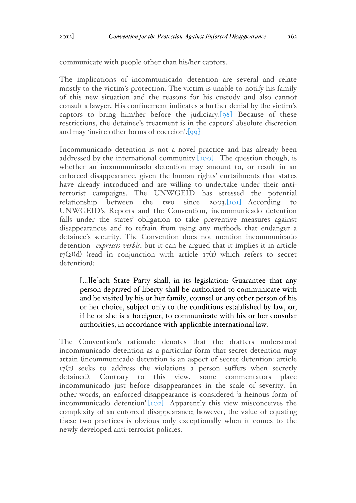communicate with people other than his/her captors.

The implications of incommunicado detention are several and relate mostly to the victim's protection. The victim is unable to notify his family of this new situation and the reasons for his custody and also cannot consult a lawyer. His confinement indicates a further denial by the victim's captors to bring him/her before the judiciary.[98] Because of these restrictions, the detainee's treatment is in the captors' absolute discretion and may 'invite other forms of coercion'.[99]

Incommunicado detention is not a novel practice and has already been addressed by the international community. [100] The question though, is whether an incommunicado detention may amount to, or result in an enforced disappearance, given the human rights' curtailments that states have already introduced and are willing to undertake under their antiterrorist campaigns. The UNWGEID has stressed the potential relationship between the two since 2003.[101] According to UNWGEID's Reports and the Convention, incommunicado detention falls under the states' obligation to take preventive measures against disappearances and to refrain from using any methods that endanger a detainee's security. The Convention does not mention incommunicado detention *expressis verbis*, but it can be argued that it implies it in article  $17(2)(d)$  (read in conjunction with article  $17(1)$  which refers to secret detention):

[…][e]ach State Party shall, in its legislation: Guarantee that any person deprived of liberty shall be authorized to communicate with and be visited by his or her family, counsel or any other person of his or her choice, subject only to the conditions established by law, or, if he or she is a foreigner, to communicate with his or her consular authorities, in accordance with applicable international law.

The Convention's rationale denotes that the drafters understood incommunicado detention as a particular form that secret detention may attain (incommunicado detention is an aspect of secret detention: article 17(2) seeks to address the violations a person suffers when secretly detained). Contrary to this view, some commentators place incommunicado just before disappearances in the scale of severity. In other words, an enforced disappearance is considered 'a heinous form of incommunicado detention'.<sup>[102]</sup> Apparently this view misconceives the complexity of an enforced disappearance; however, the value of equating these two practices is obvious only exceptionally when it comes to the newly developed anti-terrorist policies.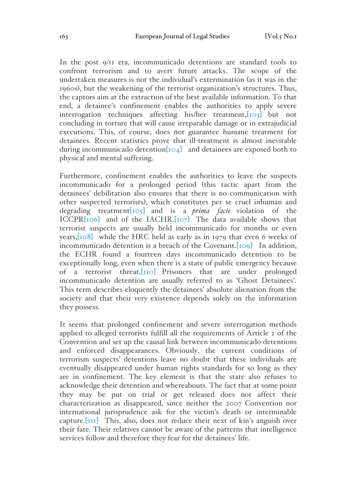In the post 9/11 era, incommunicado detentions are standard tools to confront terrorism and to avert future attacks. The scope of the undertaken measures is not the individual's extermination (as it was in the 1960s), but the weakening of the terrorist organization's structures. Thus, the captors aim at the extraction of the best available information. To that end, a detainee's confinement enables the authorities to apply severe interrogation techniques affecting his/her treatment,[103] but not concluding in torture that will cause irreparable damage or in extrajudicial executions. This, of course, does not guarantee humane treatment for detainees. Recent statistics prove that ill-treatment is almost inevitable during incommunicado detention[104] and detainees are exposed both to physical and mental suffering.

Furthermore, confinement enables the authorities to leave the suspects incommunicado for a prolonged period (this tactic apart from the detainees' debilitation also ensures that there is no communication with other suspected terrorists), which constitutes per se cruel inhuman and degrading treatment[105] and is a *prima facie* violation of the ICCPR[106] and of the IACHR.[107] The data available shows that terrorist suspects are usually held incommunicado for months or even years,[108] while the HRC held as early as in 1979 that even 6 weeks of incommunicado detention is a breach of the Covenant. [109] In addition, the ECHR found a fourteen days incommunicado detention to be exceptionally long, even when there is a state of public emergency because of a terrorist threat.[110] Prisoners that are under prolonged incommunicado detention are usually referred to as 'Ghost Detainees'. This term describes eloquently the detainees' absolute alienation from the society and that their very existence depends solely on the information they possess.

It seems that prolonged confinement and severe interrogation methods applied to alleged terrorists fulfill all the requirements of Article 2 of the Convention and set up the causal link between incommunicado detentions and enforced disappearances. Obviously, the current conditions of terrorism suspects' detentions leave no doubt that these individuals are eventually disappeared under human rights standards for so long as they are in confinement. The key element is that the state also refuses to acknowledge their detention and whereabouts. The fact that at some point they may be put on trial or get released does not affect their characterization as disappeared, since neither the 2007 Convention nor international jurisprudence ask for the victim's death or interminable capture.[111] This, also, does not reduce their next of kin's anguish over their fate. Their relatives cannot be aware of the patterns that intelligence services follow and therefore they fear for the detainees' life.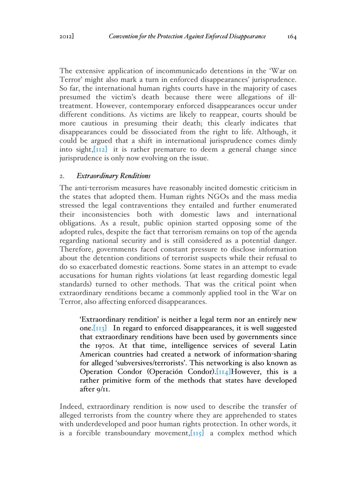The extensive application of incommunicado detentions in the 'War on Terror' might also mark a turn in enforced disappearances' jurisprudence. So far, the international human rights courts have in the majority of cases presumed the victim's death because there were allegations of illtreatment. However, contemporary enforced disappearances occur under different conditions. As victims are likely to reappear, courts should be more cautious in presuming their death; this clearly indicates that disappearances could be dissociated from the right to life. Although, it could be argued that a shift in international jurisprudence comes dimly into sight, $\left[\frac{1}{12}\right]$  it is rather premature to deem a general change since jurisprudence is only now evolving on the issue.

#### 2. *Extraordinary Renditions*

The anti-terrorism measures have reasonably incited domestic criticism in the states that adopted them. Human rights NGOs and the mass media stressed the legal contraventions they entailed and further enumerated their inconsistencies both with domestic laws and international obligations. As a result, public opinion started opposing some of the adopted rules, despite the fact that terrorism remains on top of the agenda regarding national security and is still considered as a potential danger. Therefore, governments faced constant pressure to disclose information about the detention conditions of terrorist suspects while their refusal to do so exacerbated domestic reactions. Some states in an attempt to evade accusations for human rights violations (at least regarding domestic legal standards) turned to other methods. That was the critical point when extraordinary renditions became a commonly applied tool in the War on Terror, also affecting enforced disappearances.

'Extraordinary rendition' is neither a legal term nor an entirely new one. $\left[\overline{113}\right]$  In regard to enforced disappearances, it is well suggested that extraordinary renditions have been used by governments since the 1970s. At that time, intelligence services of several Latin American countries had created a network of information-sharing for alleged 'subversives/terrorists'. This networking is also known as Operation Condor (Operación Condor).[114]However, this is a rather primitive form of the methods that states have developed after 9/11.

Indeed, extraordinary rendition is now used to describe the transfer of alleged terrorists from the country where they are apprehended to states with underdeveloped and poor human rights protection. In other words, it is a forcible transboundary movement,  $[i]$  a complex method which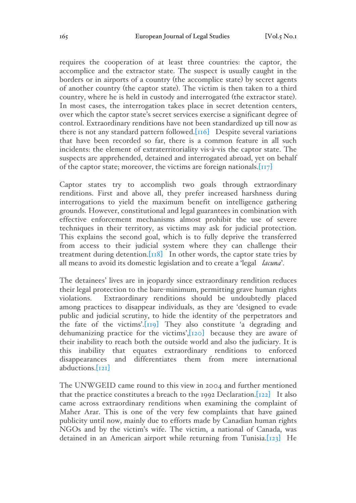requires the cooperation of at least three countries: the captor, the accomplice and the extractor state. The suspect is usually caught in the borders or in airports of a country (the accomplice state) by secret agents of another country (the captor state). The victim is then taken to a third country, where he is held in custody and interrogated (the extractor state). In most cases, the interrogation takes place in secret detention centers, over which the captor state's secret services exercise a significant degree of control. Extraordinary renditions have not been standardized up till now as there is not any standard pattern followed. $\overline{[116]}$  Despite several variations that have been recorded so far, there is a common feature in all such incidents: the element of extraterritoriality vis-à-vis the captor state. The suspects are apprehended, detained and interrogated abroad, yet on behalf of the captor state; moreover, the victims are foreign nationals.  $\begin{bmatrix} 117 \end{bmatrix}$ 

Captor states try to accomplish two goals through extraordinary renditions. First and above all, they prefer increased harshness during interrogations to yield the maximum benefit on intelligence gathering grounds. However, constitutional and legal guarantees in combination with effective enforcement mechanisms almost prohibit the use of severe techniques in their territory, as victims may ask for judicial protection. This explains the second goal, which is to fully deprive the transferred from access to their judicial system where they can challenge their treatment during detention. $\text{[I18]}$  In other words, the captor state tries by all means to avoid its domestic legislation and to create a 'legal *lacuna*'.

The detainees' lives are in jeopardy since extraordinary rendition reduces their legal protection to the bare-minimum, permitting grave human rights violations. Extraordinary renditions should be undoubtedly placed among practices to disappear individuals, as they are 'designed to evade public and judicial scrutiny, to hide the identity of the perpetrators and the fate of the victims'. $\overline{[119]}$  They also constitute 'a degrading and dehumanizing practice for the victims',[120] because they are aware of their inability to reach both the outside world and also the judiciary. It is this inability that equates extraordinary renditions to enforced disappearances and differentiates them from mere international abductions.[121]

The UNWGEID came round to this view in 2004 and further mentioned that the practice constitutes a breach to the 1992 Declaration. $[122]$  It also came across extraordinary renditions when examining the complaint of Maher Arar. This is one of the very few complaints that have gained publicity until now, mainly due to efforts made by Canadian human rights NGOs and by the victim's wife. The victim, a national of Canada, was detained in an American airport while returning from Tunisia.[123] He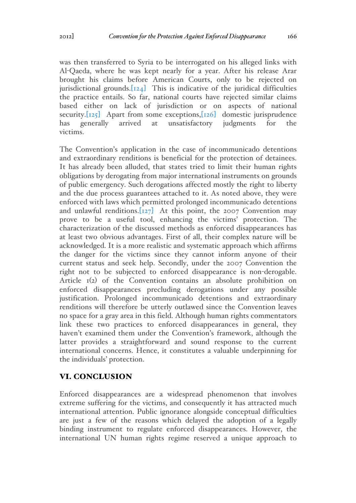was then transferred to Syria to be interrogated on his alleged links with Al-Qaeda, where he was kept nearly for a year. After his release Arar brought his claims before American Courts, only to be rejected on jurisdictional grounds. $[124]$  This is indicative of the juridical difficulties the practice entails. So far, national courts have rejected similar claims based either on lack of jurisdiction or on aspects of national security. $[125]$  Apart from some exceptions, $[126]$  domestic jurisprudence has generally arrived at unsatisfactory judgments for the victims.

The Convention's application in the case of incommunicado detentions and extraordinary renditions is beneficial for the protection of detainees. It has already been alluded, that states tried to limit their human rights obligations by derogating from major international instruments on grounds of public emergency. Such derogations affected mostly the right to liberty and the due process guarantees attached to it. As noted above, they were enforced with laws which permitted prolonged incommunicado detentions and unlawful renditions.[127] At this point, the 2007 Convention may prove to be a useful tool, enhancing the victims' protection. The characterization of the discussed methods as enforced disappearances has at least two obvious advantages. First of all, their complex nature will be acknowledged. It is a more realistic and systematic approach which affirms the danger for the victims since they cannot inform anyone of their current status and seek help. Secondly, under the 2007 Convention the right not to be subjected to enforced disappearance is non-derogable. Article 1(2) of the Convention contains an absolute prohibition on enforced disappearances precluding derogations under any possible justification. Prolonged incommunicado detentions and extraordinary renditions will therefore be utterly outlawed since the Convention leaves no space for a gray area in this field. Although human rights commentators link these two practices to enforced disappearances in general, they haven't examined them under the Convention's framework, although the latter provides a straightforward and sound response to the current international concerns. Hence, it constitutes a valuable underpinning for the individuals' protection.

### VI. CONCLUSION

Enforced disappearances are a widespread phenomenon that involves extreme suffering for the victims, and consequently it has attracted much international attention. Public ignorance alongside conceptual difficulties are just a few of the reasons which delayed the adoption of a legally binding instrument to regulate enforced disappearances. However, the international UN human rights regime reserved a unique approach to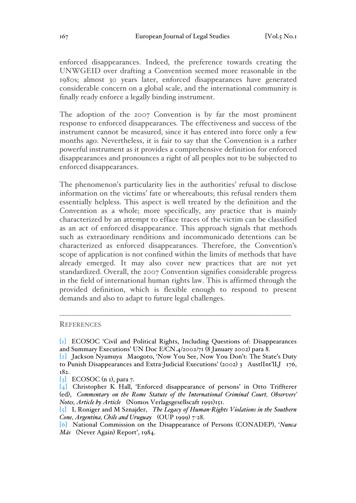enforced disappearances. Indeed, the preference towards creating the UNWGEID over drafting a Convention seemed more reasonable in the 1980s; almost 30 years later, enforced disappearances have generated considerable concern on a global scale, and the international community is finally ready enforce a legally binding instrument.

The adoption of the 2007 Convention is by far the most prominent response to enforced disappearances. The effectiveness and success of the instrument cannot be measured, since it has entered into force only a few months ago. Nevertheless, it is fair to say that the Convention is a rather powerful instrument as it provides a comprehensive definition for enforced disappearances and pronounces a right of all peoples not to be subjected to enforced disappearances.

The phenomenon's particularity lies in the authorities' refusal to disclose information on the victims' fate or whereabouts; this refusal renders them essentially helpless. This aspect is well treated by the definition and the Convention as a whole; more specifically, any practice that is mainly characterized by an attempt to efface traces of the victim can be classified as an act of enforced disappearance. This approach signals that methods such as extraordinary renditions and incommunicado detentions can be characterized as enforced disappearances. Therefore, the Convention's scope of application is not confined within the limits of methods that have already emerged. It may also cover new practices that are not yet standardized. Overall, the 2007 Convention signifies considerable progress in the field of international human rights law. This is affirmed through the provided definition, which is flexible enough to respond to present demands and also to adapt to future legal challenges.

**REFERENCES** 

-----------------------------------------------------------------------------------------------

<sup>[</sup>1] ECOSOC 'Civil and Political Rights, Including Questions of: Disappearances and Summary Executions' UN Doc E/CN.4/2002/71 (8 January 2002) para 8.

<sup>[</sup>2] Jackson Nyamuya Maogoto, 'Now You See, Now You Don't: The State's Duty to Punish Disappearances and Extra-Judicial Executions' (2002) 3 AustlInt'lLJ 176, 182.

 $\begin{bmatrix} 3 \end{bmatrix}$  ECOSOC (n I), para 7.

<sup>[</sup>4] Christopher K Hall, 'Enforced disappearance of persons' in Otto Triffterer (ed), *Commentary on the Rome Statute of the International Criminal Court, Observers' Notes, Article by Article* (Nomos Verlagsgesellscaft 1991)151.

<sup>[</sup>5] L Roniger and M Sznajder, *The Legacy of Human-Rights Violations in the Southern Cone, Argentina, Chile and Uruguay* (OUP 1999) 7-28.

<sup>[</sup>6] National Commission on the Disappearance of Persons (CONADEP), '*Nunca Más* (Never Again) Report', 1984.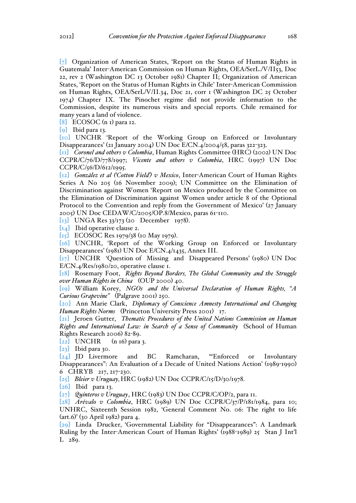[7] Organization of American States, 'Report on the Status of Human Rights in Guatemala' Inter-American Commission on Human Rights, OEA/SerL./V/II53, Doc 22, rev 2 (Washington DC 13 October 1981) Chapter II; Organization of American States, 'Report on the Status of Human Rights in Chile' Inter-American Commission on Human Rights, OEA/SerL/V/II.34, Doc 21, corr 1 (Washington DC 25 October 1974) Chapter IX. The Pinochet regime did not provide information to the Commission, despite its numerous visits and special reports. Chile remained for many years a land of violence.

 $[8]$  ECOSOC (n I) para 12.

[9] Ibid para 13.

[10] UNCHR 'Report of the Working Group on Enforced or Involuntary Disappearances' (21 January 2004) UN Doc E/CN.4/2004/58, paras 322-323.

[11] *Coronel and others v Colombia*, Human Rights Committee (HRC) (2002) UN Doc CCPR/C/76/D/778/1997; *Vicente and others v Colombia*, HRC (1997) UN Doc CCPR/C/56/D/612/1995.

[12] *González et al ('Cotton Field') v Mexico*, Inter-American Court of Human Rights Series A No 205 (16 November 2009); UN Committee on the Elimination of Discrimination against Women 'Report on Mexico produced by the Committee on the Elimination of Discrimination against Women under article 8 of the Optional Protocol to the Convention and reply from the Government of Mexico' (27 January 2005) UN Doc CEDAW/C/2005/OP.8/Mexico, paras 61-110.

[13] UNGA Res 33/173 (20 December 1978).

[14] Ibid operative clause 2.

[15] ECOSOC Res 1979/38 (10 May 1979).

[16] UNCHR, 'Report of the Working Group on Enforced or Involuntary Disappearances' (1981) UN Doc E/CN.4/1435, Annex III.

[17] UNCHR 'Question of Missing and Disappeared Persons' (1980) UN Doc E/CN.4/Res/1980/20, operative clause 1.

[18] Rosemary Foot, *Rights Beyond Borders, The Global Community and the Struggle over Human Rights in China* (OUP 2000) 40.

[19] William Korey, *NGOs and the Universal Declaration of Human Rights, "A Curious Grapevine"* (Palgrave 2001) 250.

[20] Ann Marie Clark, *Diplomacy of Conscience Amnesty International and Changing Human Rights Norms* (Princeton University Press 2001) 17.

[21] Jeroen Gutter, *Thematic Procedures of the United Nations Commission on Human Rights and International Law: in Search of a Sense of Community* (School of Human Rights Research 2006) 82-89.

 $[22]$  UNCHR (n 16) para 3.

 $[23]$  Ibid para 30.

[24] JD Livermore and BC Ramcharan, '"Enforced or Involuntary Disappearances": An Evaluation of a Decade of United Nations Action' (1989-1990) 6 CHRYB 217, 217-230.

[25] *Bleier v Uruguay,*HRC (1982) UN Doc CCPR/C/15/D/30/1978.

 $\lbrack 26 \rbrack$  Ibid para 13.

[27] *Quinteros v Uruguay*, HRC (1983) UN Doc CCPR/C/OP/2, para 11.

[28] *Arévalo v Colombia*, HRC (1989) UN Doc CCPR/C/37/P/181/1984, para 10; UNHRC, Sixteenth Session 1982, 'General Comment No. 06: The right to life (art.6)' (30 April 1982) para 4.

[29] Linda Drucker, 'Governmental Liability for "Disappearances": A Landmark Ruling by the Inter-American Court of Human Rights' (1988-1989) 25 Stan J Int'l L 289.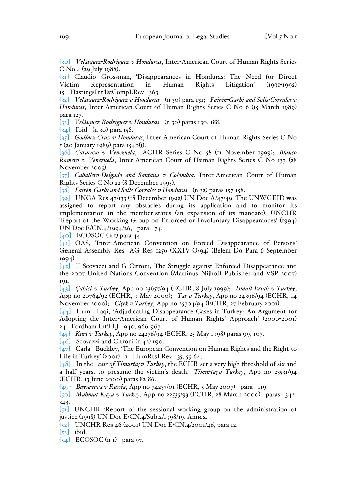[30] *Velásquez-Rodriguez v Honduras*, Inter-American Court of Human Rights Series C No 4 (29 July 1988).

[31] Claudio Grossman, 'Disappearances in Honduras: The Need for Direct Victim Representation in Human Rights Litigation' 15 HastingsInt'l&CompLRev 363.

[32] *Velásquez-Rodriguez v Honduras* (n 30) para 131; *Fairén-Garbi and Solís-Corrales v Honduras*, Inter-American Court of Human Rights Series C No 6 (15 March 1989) para 127.

[33] *Velásquez-Rodriguez v Honduras* (n 30) paras 130, 188.

 $\begin{bmatrix} 34 \end{bmatrix}$  Ibid (n 30) para 158.

[35] *Godínez-Cruz v Honduras*, Inter-American Court of Human Rights Series C No 5 (20 January 1989) para 154b(i).

[36] *Caracazo v Venezuela*, IACHR Series C No 58 (11 November 1999); *Blanco Romero v Venezuela*, Inter-American Court of Human Rights Series C No 137 (28 November 2005).

[37] *Caballero-Delgado and Santana v Colombia*, Inter-American Court of Human Rights Series C No 22 (8 December 1995).

[38] *Fairén-Garbi and Solís-Corrales v Honduras* (n 32) paras 157-158.

 $\overline{[39]}$  UNGA Res 47/133 (18 December 1992) UN Doc A/47/49. The UNWGEID was assigned to report any obstacles during its application and to monitor its implementation in the member-states (an expansion of its mandate), UNCHR 'Report of the Working Group on Enforced or Involuntary Disappearances' (1994) UN Doc E/CN.4/1994/26, para 74.

 $[40]$  ECOSOC (n I) para 44.

[41] OAS, 'Inter-American Convention on Forced Disappearance of Persons' General Assembly Res AG Res 1256 (XXIV-O/94) (Belem Do Para 6 September 1994).

[42] T Scovazzi and G Citroni, The Struggle against Enforced Disappearance and the 2007 United Nations Convention (Martinus Nijhoff Publisher and VSP 2007) 191.

[43] *Çakici v Turkey*, App no 23657/94 (ECHR, 8 July 1999); *Ismail Ertak v Turkey*, App no 20764/92 (ECHR, 9 May 2000); *Tas v Turkey*, App no 24396/94 (ECHR, 14 November 2000); *Ciçek v Turkey*, App no 25704/94 (ECHR, 27 February 2001).

[44] Irum Taqi, 'Adjudicating Disappearance Cases in Turkey: An Argument for Adopting the Inter-American Court of Human Rights' Approach' (2000-2001) 24 Fordham Int'l LJ 940, 966-967.

[45] *Kurt v Turkey*, App no 24276/94 (ECHR, 25 May 1998) paras 99, 107.

 $[46]$  Scovazzi and Citroni (n 42) 190.

[47] Carla Buckley, 'The European Convention on Human Rights and the Right to Life in Turkey' (2001) 1 HumRtsLRev 35, 55-64.

[48] In the *case of Timurtaşv Turkey*, the ECHR set a very high threshold of six and a half years, to presume the victim's death. *Timurtaşv Turkey*, App no 23531/94 (ECHR, 13 June 2000) paras 82-86.

[49] *Baysayeva v Russia*, App no 74237/01 (ECHR, 5 May 2007) para 119.

[50] *Mahmut Kaya v Turkey*, App no 22535/93 (ECHR, 28 March 2000) paras 342- 343.

[51] UNCHR 'Report of the sessional working group on the administration of justice (1998) UN Doc E/CN.4/Sub.2/1998/19, Annex.

[52] UNCHR Res 46 (2001) UN Doc E/CN.4/2001/46, para 12.

 $\overline{[53]}$  ibid.

 $[54]$  ECOSOC (n I) para 97.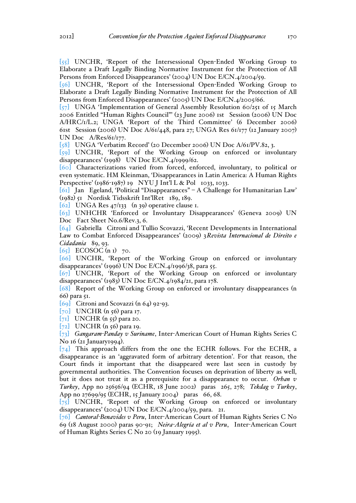$\left[55\right]$  UNCHR, 'Report of the Intersessional Open-Ended Working Group to Elaborate a Draft Legally Binding Normative Instrument for the Protection of All Persons from Enforced Disappearances' (2004) UN Doc E/CN.4/2004/59.

[56] UNCHR, 'Report of the Intersessional Open-Ended Working Group to Elaborate a Draft Legally Binding Normative Instrument for the Protection of All Persons from Enforced Disappearances' (2005) UN Doc E/CN.4/2005/66.

[57] UNGA 'Implementation of General Assembly Resolution 60/251 of 15 March 2006 Entitled "Human Rights Council"' (23 June 2006) 1st Session (2006) UN Doc A/HRC/1/L.2; UNGA 'Report of the Third Committee' (6 December 2006) 61st Session (2006) UN Doc A/61/448, para 27; UNGA Res 61/177 (12 January 2007) UN Doc A/Res/61/177.

[58] UNGA 'Verbatim Record' (20 December 2006) UN Doc A/61/PV.82, 3.

[59] UNCHR, 'Report of the Working Group on enforced or involuntary disappearances' (1998) UN Doc E/CN.4/1999/62.

[60] Characterizations varied from forced, enforced, involuntary, to political or even systematic. HM Kleinman, 'Disappearances in Latin America: A Human Rights Perspective' (1986-1987) 19 NYU J Int'l L & Pol 1033, 1033.

[61] Jan Egeland, 'Political "Disappearances" – A Challenge for Humanitarian Law' (1982) 51 Nordisk Tidsskrift Int'lRet 189, 189.

 $[62]$  UNGA Res 47/133 (n 39) operative clause 1.

[63] UNHCHR 'Enforced or Involuntary Disappearances' (Geneva 2009) UN Doc Fact Sheet No.6/Rev.3, 6.

[64] Gabriella Citroni and Tullio Scovazzi, 'Recent Developments in International Law to Combat Enforced Disappearances' (2009) 3*Revista Internacional de Direito e Cidadania* 89, 93.

 $[65]$  ECOSOC (n I) 70.

[66] UNCHR, 'Report of the Working Group on enforced or involuntary disappearances' (1996) UN Doc E/CN.4/1996/38, para 55.

[67] UNCHR, 'Report of the Working Group on enforced or involuntary disappearances' (1983) UN Doc E/CN.4/1984/21, para 178.

[68] Report of the Working Group on enforced or involuntary disappearances (n 66) para 51.

[69] Citroni and Scovazzi (n 64) 92-93.

[70] UNCHR (n 56) para 17.

 $[71]$  UNCHR (n 55) para 20.

 $[72]$  UNCHR (n 56) para 19.

[73] *Gangaram-Panday v Suriname*, Inter-American Court of Human Rights Series C No 16 (21 January1994).

 $[74]$  This approach differs from the one the ECHR follows. For the ECHR, a disappearance is an 'aggravated form of arbitrary detention'. For that reason, the Court finds it important that the disappeared were last seen in custody by governmental authorities. The Convention focuses on deprivation of liberty as well, but it does not treat it as a prerequisite for a disappearance to occur. *Orhan v Turkey*, App no 25656/94 (ECHR, 18 June 2002) paras 265, 278; *Tekdag v Turkey*, App no 27699/95 (ECHR, 15 January 2004) paras 66, 68.

[75] UNCHR, 'Report of the Working Group on enforced or involuntary disappearances' (2004) UN Doc E/CN.4/2004/59, para. 21.

[76] *Cantoral-Benavides v Peru*, Inter-American Court of Human Rights Series C No 69 (18 August 2000) paras 90-91; *Neira-Alegría et al v Peru*, Inter-American Court of Human Rights Series C No 20 (19 January 1995).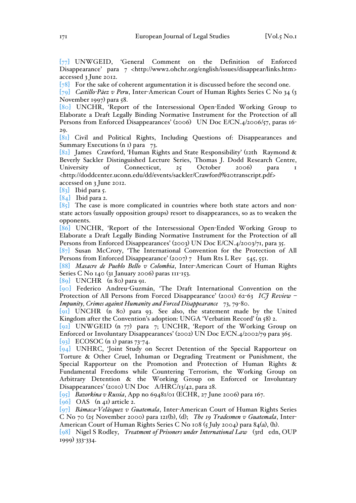[77] UNWGEID, 'General Comment on the Definition of Enforced Disappearance' para 7 <http://www2.ohchr.org/english/issues/disappear/links.htm> accessed 3 June 2012.

[78] For the sake of coherent argumentation it is discussed before the second one.

[79] *Castillo-Páez v Peru*, Inter-American Court of Human Rights Series C No 34 (3 November 1997) para 58.

[80] UNCHR, 'Report of the Intersessional Open-Ended Working Group to Elaborate a Draft Legally Binding Normative Instrument for the Protection of all Persons from Enforced Disappearances' (2006) UN Doc E/CN.4/2006/57, paras 16-29.

[81] Civil and Political Rights, Including Questions of: Disappearances and Summary Executions (n 1) para 73.

[82] James Crawford, 'Human Rights and State Responsibility' (12th Raymond & Beverly Sackler Distinguished Lecture Series, Thomas J. Dodd Research Centre, University of Connecticut, 25 October 2006) para <http://doddcenter.uconn.edu/dd/events/sackler/Crawford%20transcript.pdf> accessed on 3 June 2012.

[83] Ibid para 5.

[84] Ibid para 2.

 $[85]$  The case is more complicated in countries where both state actors and nonstate actors (usually opposition groups) resort to disappearances, so as to weaken the opponents.

[86] UNCHR, 'Report of the Intersessional Open-Ended Working Group to Elaborate a Draft Legally Binding Normative Instrument for the Protection of all Persons from Enforced Disappearances' (2003) UN Doc E/CN.4/2003/71, para 35.

[87] Susan McCrory, 'The International Convention for the Protection of All Persons from Enforced Disappearance' (2007) 7 Hum Rts L Rev  $545, 551$ .

[88] *Masacre de Pueblo Bello v Colombia*, Inter-American Court of Human Rights Series C No 140 (31 January 2006) paras 111-153.

[89] UNCHR (n 80) para 91.

[90] Federico Andreu-Guzmán, 'The Draft International Convention on the Protection of All Persons from Forced Disappearance' (2001) 62-63 *ICJ Review – Impunity, Crimes against Humanity and Forced Disappearance* 73, 79-80.

[91] UNCHR (n 80) para 93. See also, the statement made by the United Kingdom after the Convention's adoption: UNGA 'Verbatim Record' (n 58) 2.

[92] UNWGEID (n 77) para 7; UNCHR, 'Report of the Working Group on Enforced or Involuntary Disappearances' (2002) UN Doc E/CN.4/2002/79 para 365.  $[93]$  ECOSOC (n I) paras 73-74.

[94] UNHRC, 'Joint Study on Secret Detention of the Special Rapporteur on Torture & Other Cruel, Inhuman or Degrading Treatment or Punishment, the Special Rapporteur on the Promotion and Protection of Human Rights & Fundamental Freedoms while Countering Terrorism, the Working Group on Arbitrary Detention & the Working Group on Enforced or Involuntary Disappearances' (2010) UN Doc A/HRC/13/42, para 28.

[95] *Bazorkina v Russia*, App no 69481/01 (ECHR, 27 June 2006) para 167.

 $[96]$  OAS  $(n_4)$  article 2.

[97] *Bámaca-Velásquez v Guatemala*, Inter-American Court of Human Rights Series C No 70 (25 November 2000) para 121(b), (d); *The 19 Tradesmen v Guatemala*, Inter-American Court of Human Rights Series C No 108 (5 July 2004) para 84(a), (h).

[98] Nigel S Rodley, *Treatment of Prisoners under International Law* (3rd edn, OUP 1999) 333-334.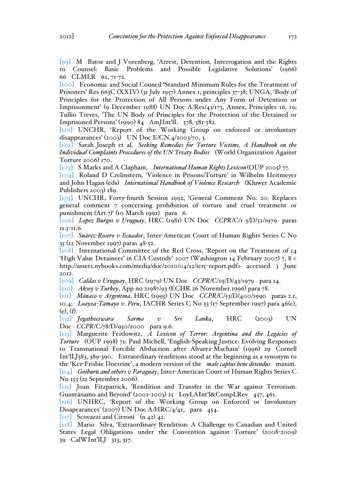[99] M Bator and J Vorenberg, 'Arrest, Detention, Interrogation and the Rights to Counsel: Basic Problems and Possible Legislative Solutions' (1966) 66 CLMLR 62, 71-72.

[100] Economic and Social Council 'Standard Minimum Rules for the Treatment of Prisoners' Res 663C (XXIV) (31 July 1957) Annex 1, principles 37-38; UNGA, 'Body of Principles for the Protection of All Persons under Any Form of Detention or Imprisonment' (9 December 1988) UN Doc A/Res/43/173, Annex, Principles 16, 19; Tullio Treves, 'The UN Body of Principles for the Protection of the Detained or Imprisoned Persons' (1990) 84 AmJInt'lL  $578, 581-582$ .

[101] UNCHR, 'Report of the Working Group on enforced or involuntary disappearances' (2003) UN Doc E/CN.4/2003/70, 3.

[102] Sarah Joseph et al, *Seeking Remedies for Torture Victims, A Handbook on the Individual Complaints Procedures of the UN Treaty Bodies* (World Organization Against Torture 2006) 170.

[103] S Marks and A Clapham, *International Human Rights Lexicon*(OUP 2005) 77.

[104] Roland D Crelinstern, 'Violence in Prisons/Torture' in Wilhelm Heitmeyer and John Hagan (eds) *International Handbook of Violence Research* (Kluwer Academic Publishers 2003) 189.

[105] UNCHR, Forty-fourth Session 1992, 'General Comment No. 20: Replaces general comment 7 concerning prohibition of torture and cruel treatment or punishment (Art.7)' (10 March 1992) para 6.

[106] *Lopez Burgos v Uruguay*, HRC (1981) UN Doc *CCPR*/C/1 3/D/52/1979 paras 11.5-11.6.

[107] *Suárez-Rosero v Ecuador*, Inter-American Court of Human Rights Series C No 35 (12 November 1997) paras 48-52.

[108] International Committee of the Red Cross, 'Report on the Treatment of 14 'High Value Detainees' in CIA Custody' 2007 (Washington 14 February 2007) 7,  $8 <$ http://assets.nybooks.com/media/doc/2010/04/22/icrc-report.pdf> accessed 3 June 2012.

[109] *Caldas v Uruguay*, HRC (1979) UN Doc *CCPR*/C/19/D/43/1979 para 14.

[110] *Aksoy v Turkey*, App no 21987/93 (ECHR 26 November 1996) para 78.

[111] *Mónaco v Argentina*, HRC (1995) UN Doc *CCPR*/C/53/D/400/1990 paras 2.1, 10.4; *Loayza-Tamayo v. Peru*, IACHR Series C No 33 (17 September 1997) para 46(c), (e), (f).

[112] *Jegatheeswara Sarma v Sri Lanka*, HRC (2003) UN Doc *CCPR/C/78/D/950/2000* para 9.6.

[113] Marguerite Feitlowitz, *A Lexicon of Terror: Argentina and the Legacies of Torture* (OUP 1998) 71; Paul Michell, 'English-Speaking Justice: Evolving Responses to Transnational Forcible Abduction after Alvarez-Machain' (1996) 29 Cornell Int'lLJ383, 389-390. Extraordinary renditions stood at the beginning as a synonym to the 'Ker-Frisbie Doctrine', a modern version of the *male captus bene detendus* maxim. [114] *Goiburú and others v Paraguay*, Inter-American Court of Human Rights Series C No 153 (22 September 2006).

[115] Joan Fitzpatrick, 'Rendition and Transfer in the War against Terrorism: Guantánamo and Beyond' (2002-2003) 25 LoyLAInt'l&CompLRev 457, 461.

[116] UNHRC, 'Report of the Working Group on Enforced or Involuntary Disapearances' (2007) UN Doc A/HRC/4/41, para 454.

[ $117$ ] Scovazzi and Citroni (n 42) 42.

[118] Mario Silva, 'Extraordinary Rendition: A Challenge to Canadian and United States Legal Obligations under the Convention against Torture' (2008-2009) 39 CalWInt'lLJ 313, 317.